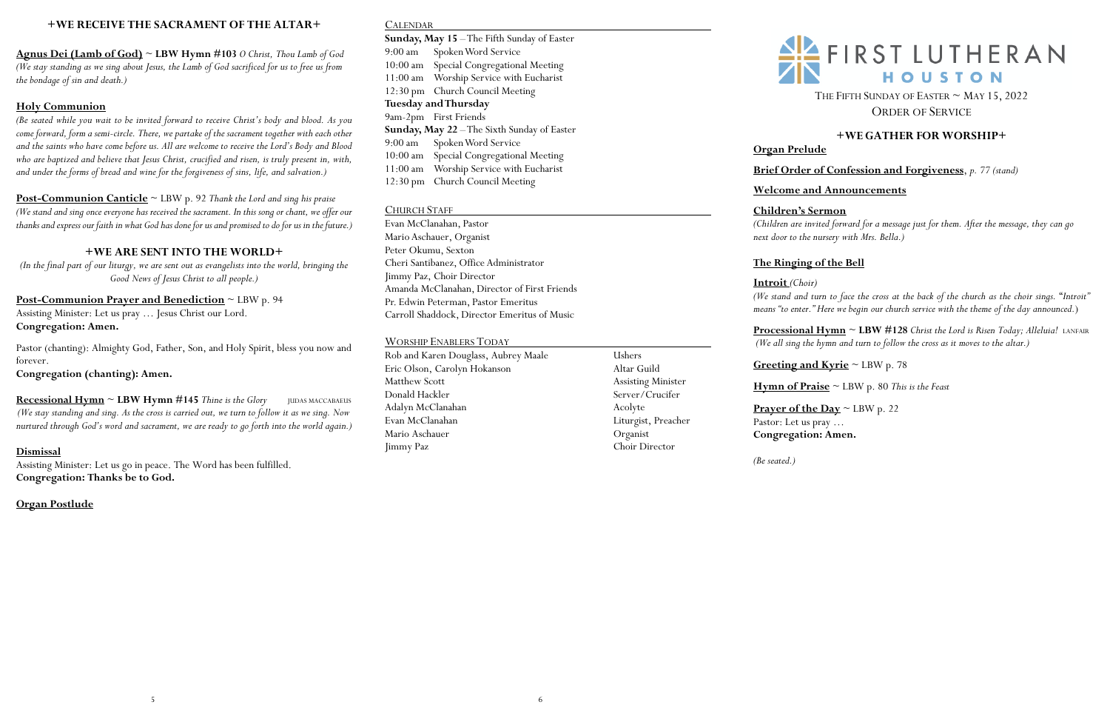# **+WE RECEIVE THE SACRAMENT OF THE ALTAR+**

**Agnus Dei (Lamb of God)** ~ **LBW Hymn #103** *O Christ, Thou Lamb of God (We stay standing as we sing about Jesus, the Lamb of God sacrificed for us to free us from the bondage of sin and death.)* 

# **Holy Communion**

*(Be seated while you wait to be invited forward to receive Christ's body and blood. As you come forward, form a semi-circle. There, we partake of the sacrament together with each other and the saints who have come before us. All are welcome to receive the Lord's Body and Blood who are baptized and believe that Jesus Christ, crucified and risen, is truly present in, with, and under the forms of bread and wine for the forgiveness of sins, life, and salvation.)*

**Recessional Hymn**  $\sim$  **LBW Hymn** #145 *Thine is the Glory* **JUDAS MACCABAEUS** *(We stay standing and sing. As the cross is carried out, we turn to follow it as we sing. Now nurtured through God's word and sacrament, we are ready to go forth into the world again.)* 

**Post-Communion Canticle** ~ LBW p. 92 *Thank the Lord and sing his praise (We stand and sing once everyone has received the sacrament. In this song or chant, we offer our thanks and express our faith in what God has done for usand promised to do for us in the future.)*

# **+WE ARE SENT INTO THE WORLD+**

*(In the final part of our liturgy, we are sent out as evangelists into the world, bringing the Good News of Jesus Christ to all people.)*

# **Post-Communion Prayer and Benediction** ~ LBW p. 94 Assisting Minister: Let us pray … Jesus Christ our Lord.

**Congregation: Amen.**

Pastor (chanting): Almighty God, Father, Son, and Holy Spirit, bless you now and forever.

**Congregation (chanting): Amen.** 

THE FIFTH SUNDAY OF EASTER  $\sim$  MAY 15, 2022 ORDER OF SERVICE

### **Dismissal**

Assisting Minister: Let us go in peace. The Word has been fulfilled. **Congregation: Thanks be to God.**

**Processional Hymn**  $\sim$  **LBW** #128 *Christ the Lord is Risen Today; Alleluia! LANFAIR (We all sing the hymn and turn to follow the cross as it moves to the altar.)*

**Organ Postlude**

# CALENDAR

**Prayer of the Day**  $\sim$  LBW p. 22 Pastor: Let us pray … **Congregation: Amen.**

**Sunday, May 15** –The Fifth Sunday of Easter 9:00 am Spoken Word Service 10:00 am Special Congregational Meeting 11:00 am Worship Service with Eucharist 12:30 pm Church Council Meeting **Tuesday and Thursday** 9am-2pm First Friends **Sunday, May 22** –The Sixth Sunday of Easter 9:00 am Spoken Word Service 10:00 am Special Congregational Meeting 11:00 am Worship Service with Eucharist 12:30 pm Church Council Meeting

# CHURCH STAFF

Evan McClanahan, Pastor Mario Aschauer, Organist Peter Okumu, Sexton Cheri Santibanez, Office Administrator Jimmy Paz, Choir Director Amanda McClanahan, Director of First Friends Pr. Edwin Peterman, Pastor Emeritus Carroll Shaddock, Director Emeritus of Music

# WORSHIP ENABLERS TODAY

| Rob and Karen Douglass, Aubrey Maale | Ushers                    |
|--------------------------------------|---------------------------|
| Eric Olson, Carolyn Hokanson         | Altar Guild               |
| Matthew Scott                        | <b>Assisting Minister</b> |
| Donald Hackler                       | Server/Crucifer           |
| Adalyn McClanahan                    | Acolyte                   |
| Evan McClanahan                      | Liturgist, Preacher       |
| Mario Aschauer                       | Organist                  |
| Jimmy Paz                            | Choir Director            |
|                                      |                           |



# **+WE GATHER FOR WORSHIP+**

# **Organ Prelude**

**Brief Order of Confession and Forgiveness**, *p. 77 (stand)*

**Welcome and Announcements**

**Children's Sermon**

*(Children are invited forward for a message just for them. After the message, they can go next door to the nursery with Mrs. Bella.)* 

# **The Ringing of the Bell**

**Introit** *(Choir)* 

*(We stand and turn to face the cross at the back of the church as the choir sings.* "*Introit" means "to enter." Here we begin our church service with the theme of the day announced.*)

**Greeting and Kyrie** ~ LBW p. 78

**Hymn of Praise** ~ LBW p. 80 *This is the Feast*

*(Be seated.)*

# $\frac{2!}{2!}$  FIRST LUTHERAN HOUSTON